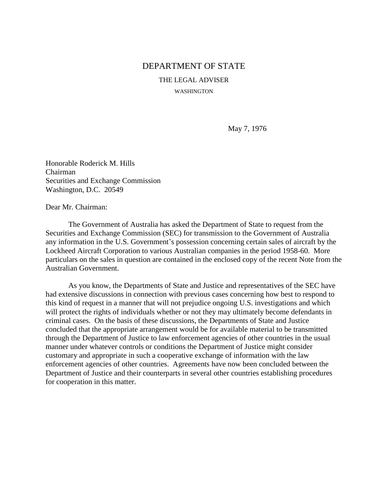## DEPARTMENT OF STATE

THE LEGAL ADVISER

WASHINGTON

May 7, 1976

Honorable Roderick M. Hills Chairman Securities and Exchange Commission Washington, D.C. 20549

Dear Mr. Chairman:

The Government of Australia has asked the Department of State to request from the Securities and Exchange Commission (SEC) for transmission to the Government of Australia any information in the U.S. Government's possession concerning certain sales of aircraft by the Lockheed Aircraft Corporation to various Australian companies in the period 1958-60. More particulars on the sales in question are contained in the enclosed copy of the recent Note from the Australian Government.

As you know, the Departments of State and Justice and representatives of the SEC have had extensive discussions in connection with previous cases concerning how best to respond to this kind of request in a manner that will not prejudice ongoing U.S. investigations and which will protect the rights of individuals whether or not they may ultimately become defendants in criminal cases. On the basis of these discussions, the Departments of State and Justice concluded that the appropriate arrangement would be for available material to be transmitted through the Department of Justice to law enforcement agencies of other countries in the usual manner under whatever controls or conditions the Department of Justice might consider customary and appropriate in such a cooperative exchange of information with the law enforcement agencies of other countries. Agreements have now been concluded between the Department of Justice and their counterparts in several other countries establishing procedures for cooperation in this matter.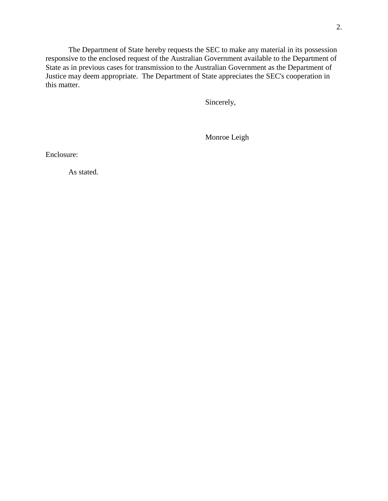The Department of State hereby requests the SEC to make any material in its possession responsive to the enclosed request of the Australian Government available to the Department of State as in previous cases for transmission to the Australian Government as the Department of Justice may deem appropriate. The Department of State appreciates the SEC's cooperation in this matter.

Sincerely,

Monroe Leigh

Enclosure:

As stated.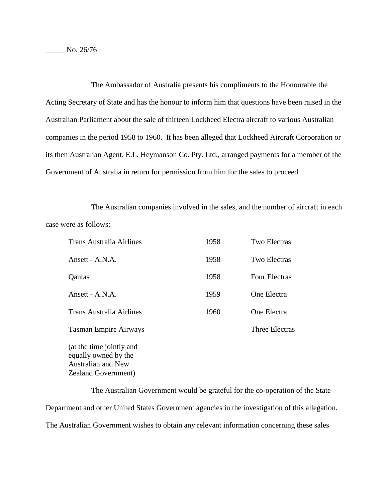Australian and New Zealand Government)

The Ambassador of Australia presents his compliments to the Honourable the Acting Secretary of State and has the honour to inform him that questions have been raised in the Australian Parliament about the sale of thirteen Lockheed Electra aircraft to various Australian companies in the period 1958 to 1960. It has been alleged that Lockheed Aircraft Corporation or its then Australian Agent, E.L. Heymanson Co. Pty. Ltd., arranged payments for a member of the Government of Australia in return for permission from him for the sales to proceed.

The Australian companies involved in the sales, and the number of aircraft in each case were as follows:

| <b>Trans Australia Airlines</b>                  | 1958 | <b>Two Electras</b>   |
|--------------------------------------------------|------|-----------------------|
| Ansett - A.N.A.                                  | 1958 | <b>Two Electras</b>   |
| Qantas                                           | 1958 | <b>Four Electras</b>  |
| Ansett - A.N.A.                                  | 1959 | One Electra           |
| <b>Trans Australia Airlines</b>                  | 1960 | One Electra           |
| <b>Tasman Empire Airways</b>                     |      | <b>Three Electras</b> |
| (at the time jointly and<br>equally owned by the |      |                       |

The Australian Government would be grateful for the co-operation of the State Department and other United States Government agencies in the investigation of this allegation. The Australian Government wishes to obtain any relevant information concerning these sales